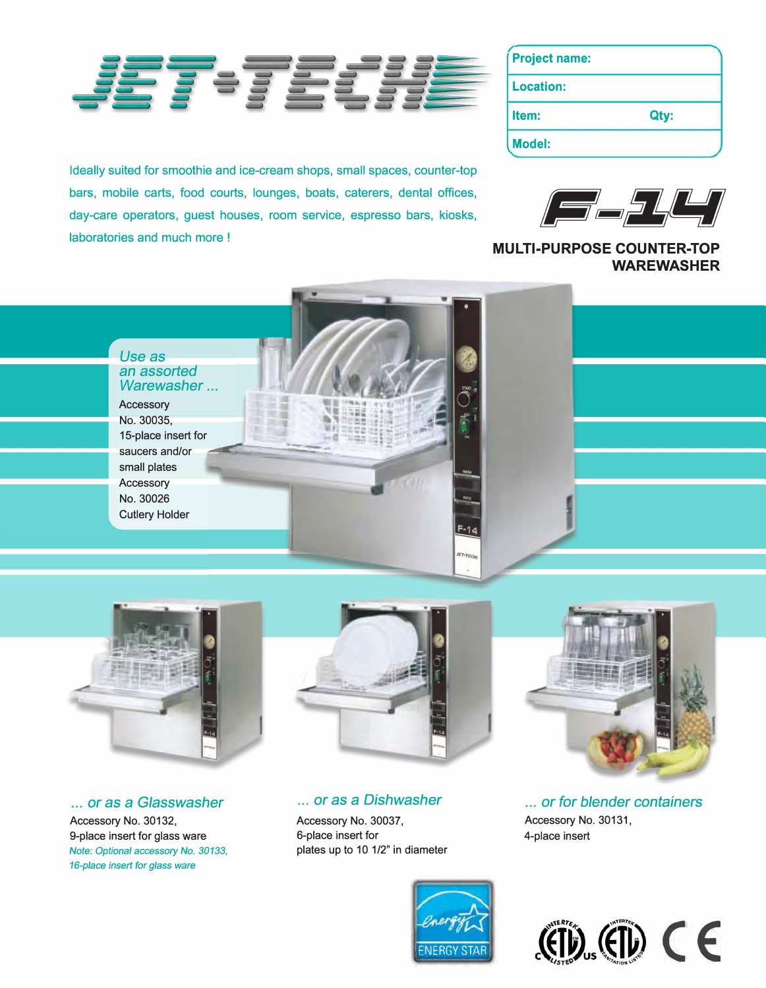

Ideally suited for smoothie and ice-cream shops, small spaces, counter-top bars, mobile carts, food courts, lounges, boats, caterers, dental offices, day-care operators, guest houses, room service, espresso bars, kiosks, laboratories and much more !

| <b>Project name:</b> |      |
|----------------------|------|
| <b>Location:</b>     |      |
| Item:                | Qty: |
| <b>Model:</b>        |      |



**MULTI-PURPOSE COUNTER-TOP WAREWASHER** 





... *or* as a *G/asswasher*  Accessory No. 30132, 9-place insert for glass ware *Note: Optional* **accessory** *No. 30133, 16-place* **insert** *for* **glass** *ware*





... *or* as a *Dishwasher* 

Accessory No. 30037, 6-place insert for plates up to 10 1/2" in diameter